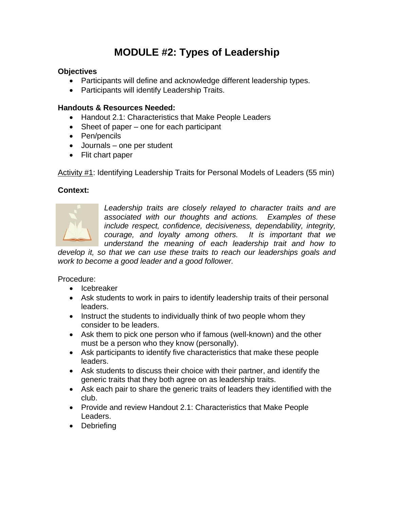# **MODULE #2: Types of Leadership**

## **Objectives**

- Participants will define and acknowledge different leadership types.
- Participants will identify Leadership Traits.

#### **Handouts & Resources Needed:**

- Handout 2.1: Characteristics that Make People Leaders
- Sheet of paper one for each participant
- Pen/pencils
- Journals one per student
- Flit chart paper

Activity #1: Identifying Leadership Traits for Personal Models of Leaders (55 min)

### **Context:**



*Leadership traits are closely relayed to character traits and are associated with our thoughts and actions. Examples of these include respect, confidence, decisiveness, dependability, integrity, courage, and loyalty among others. It is important that we understand the meaning of each leadership trait and how to* 

*develop it, so that we can use these traits to reach our leaderships goals and work to become a good leader and a good follower.*

Procedure:

- Icebreaker
- Ask students to work in pairs to identify leadership traits of their personal leaders.
- Instruct the students to individually think of two people whom they consider to be leaders.
- Ask them to pick one person who if famous (well-known) and the other must be a person who they know (personally).
- Ask participants to identify five characteristics that make these people leaders.
- Ask students to discuss their choice with their partner, and identify the generic traits that they both agree on as leadership traits.
- Ask each pair to share the generic traits of leaders they identified with the club.
- Provide and review Handout 2.1: Characteristics that Make People Leaders.
- Debriefing